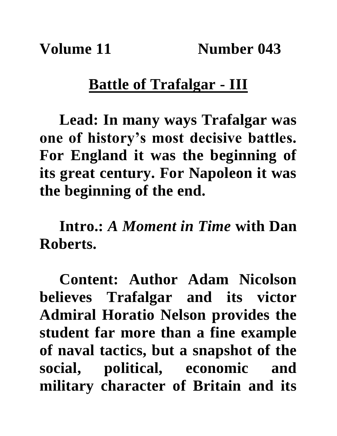## **Battle of Trafalgar - III**

**Lead: In many ways Trafalgar was one of history's most decisive battles. For England it was the beginning of its great century. For Napoleon it was the beginning of the end.**

**Intro.:** *A Moment in Time* **with Dan Roberts.**

**Content: Author Adam Nicolson believes Trafalgar and its victor Admiral Horatio Nelson provides the student far more than a fine example of naval tactics, but a snapshot of the social, political, economic and military character of Britain and its**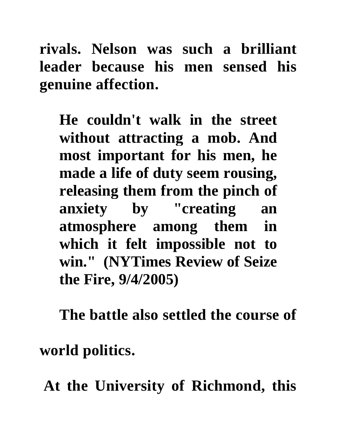**rivals. Nelson was such a brilliant leader because his men sensed his genuine affection.**

**He couldn't walk in the street without attracting a mob. And most important for his men, he made a life of duty seem rousing, releasing them from the pinch of anxiety by "creating an atmosphere among them in which it felt impossible not to win." (NYTimes Review of Seize the Fire, 9/4/2005)**

**The battle also settled the course of** 

**world politics.**

**At the University of Richmond, this**